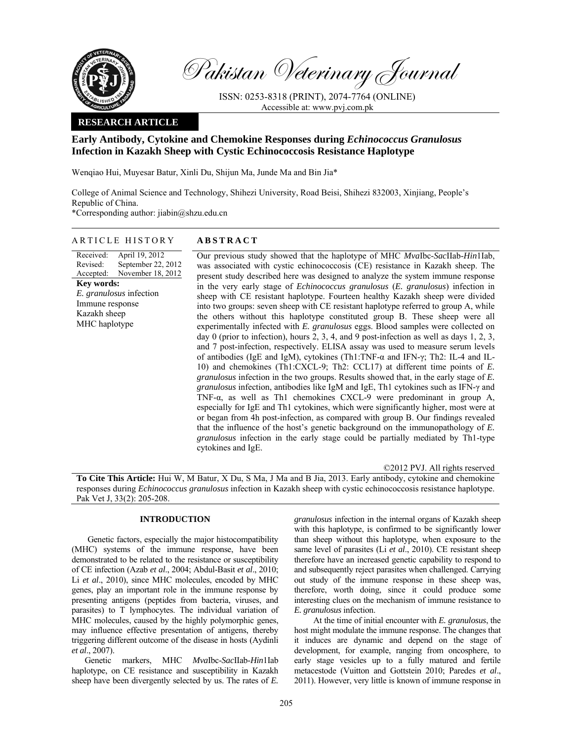

Pakistan Veterinary Journal

ISSN: 0253-8318 (PRINT), 2074-7764 (ONLINE) Accessible at: www.pvj.com.pk

### **RESEARCH ARTICLE**

# **Early Antibody, Cytokine and Chemokine Responses during** *Echinococcus Granulosus*  **Infection in Kazakh Sheep with Cystic Echinococcosis Resistance Haplotype**

Wenqiao Hui, Muyesar Batur, Xinli Du, Shijun Ma, Junde Ma and Bin Jia\*

College of Animal Science and Technology, Shihezi University, Road Beisi, Shihezi 832003, Xinjiang, People's Republic of China.

\*Corresponding author: jiabin@shzu.edu.cn

## ARTICLE HISTORY **ABSTRACT**

Received: Revised: Accepted: April 19, 2012 September 22, 2012 November 18, 2012 **Key words:**  *E. granulosus* infection Immune response Kazakh sheep MHC haplotype

 Our previous study showed that the haplotype of MHC *Mva*Ibc-*Sac*IIab-*Hin*1Iab, was associated with cystic echinococcosis (CE) resistance in Kazakh sheep. The present study described here was designed to analyze the system immune response in the very early stage of *Echinococcus granulosus* (*E. granulosus*) infection in sheep with CE resistant haplotype. Fourteen healthy Kazakh sheep were divided into two groups: seven sheep with CE resistant haplotype referred to group A, while the others without this haplotype constituted group B. These sheep were all experimentally infected with *E. granulosus* eggs. Blood samples were collected on day 0 (prior to infection), hours 2, 3, 4, and 9 post-infection as well as days 1, 2, 3, and 7 post-infection, respectively. ELISA assay was used to measure serum levels of antibodies (IgE and IgM), cytokines (Th1:TNF-α and IFN-γ; Th2: IL-4 and IL-10) and chemokines (Th1:CXCL-9; Th2: CCL17) at different time points of *E. granulosus* infection in the two groups. Results showed that, in the early stage of *E. granulosus* infection, antibodies like IgM and IgE, Th1 cytokines such as IFN-γ and TNF-α, as well as Th1 chemokines CXCL-9 were predominant in group A, especially for IgE and Th1 cytokines, which were significantly higher, most were at or began from 4h post-infection, as compared with group B. Our findings revealed that the influence of the host's genetic background on the immunopathology of *E. granulosus* infection in the early stage could be partially mediated by Th1-type cytokines and IgE.

©2012 PVJ. All rights reserved

**To Cite This Article:** Hui W, M Batur, X Du, S Ma, J Ma and B Jia, 2013. Early antibody, cytokine and chemokine responses during *Echinococcus granulosus* infection in Kazakh sheep with cystic echinococcosis resistance haplotype. Pak Vet J, 33(2): 205-208.

## **INTRODUCTION**

Genetic factors, especially the major histocompatibility (MHC) systems of the immune response, have been demonstrated to be related to the resistance or susceptibility of CE infection (Azab *et al*., 2004; Abdul-Basit *et al*., 2010; Li *et al*., 2010), since MHC molecules, encoded by MHC genes, play an important role in the immune response by presenting antigens (peptides from bacteria, viruses, and parasites) to T lymphocytes. The individual variation of MHC molecules, caused by the highly polymorphic genes, may influence effective presentation of antigens, thereby triggering different outcome of the disease in hosts (Aydinli *et al*., 2007).

Genetic markers, MHC *Mva*Ibc-*Sac*IIab-*Hin*1Iab haplotype, on CE resistance and susceptibility in Kazakh sheep have been divergently selected by us. The rates of *E.* 

*granulosus* infection in the internal organs of Kazakh sheep with this haplotype, is confirmed to be significantly lower than sheep without this haplotype, when exposure to the same level of parasites (Li *et al*., 2010). CE resistant sheep therefore have an increased genetic capability to respond to and subsequently reject parasites when challenged. Carrying out study of the immune response in these sheep was, therefore, worth doing, since it could produce some interesting clues on the mechanism of immune resistance to *E. granulosus* infection.

 At the time of initial encounter with *E. granulosus*, the host might modulate the immune response. The changes that it induces are dynamic and depend on the stage of development, for example, ranging from oncosphere, to early stage vesicles up to a fully matured and fertile metacestode (Vuitton and Gottstein 2010; Paredes *et al*., 2011). However, very little is known of immune response in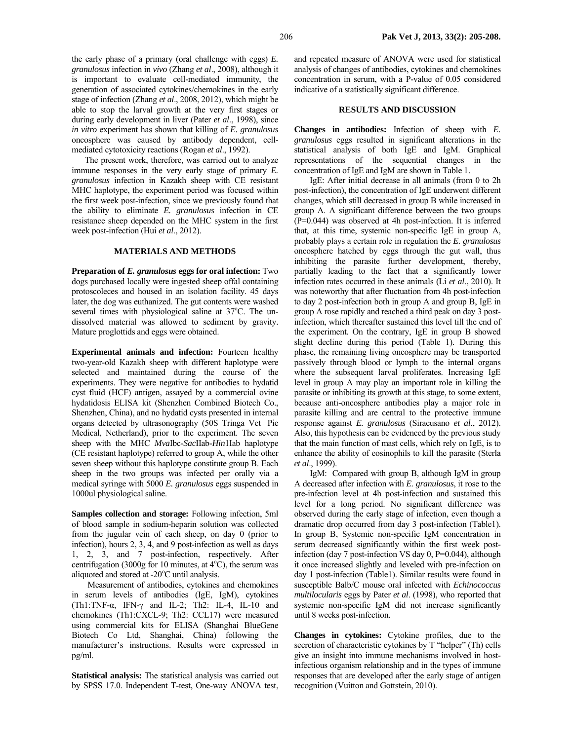the early phase of a primary (oral challenge with eggs) *E. granulosus* infection in *vivo* (Zhang *et al*., 2008), although it is important to evaluate cell-mediated immunity, the generation of associated cytokines/chemokines in the early stage of infection (Zhang *et al*., 2008, 2012), which might be able to stop the larval growth at the very first stages or during early development in liver (Pater *et al*., 1998), since *in vitro* experiment has shown that killing of *E. granulosus* oncosphere was caused by antibody dependent, cellmediated cytotoxicity reactions (Rogan *et al*., 1992).

The present work, therefore, was carried out to analyze immune responses in the very early stage of primary *E. granulosus* infection in Kazakh sheep with CE resistant MHC haplotype, the experiment period was focused within the first week post-infection, since we previously found that the ability to eliminate *E. granulosus* infection in CE resistance sheep depended on the MHC system in the first week post-infection (Hui *et al*., 2012).

#### **MATERIALS AND METHODS**

**Preparation of** *E. granulosus* **eggs for oral infection:** Two dogs purchased locally were ingested sheep offal containing protoscoleces and housed in an isolation facility. 45 days later, the dog was euthanized. The gut contents were washed several times with physiological saline at 37°C. The undissolved material was allowed to sediment by gravity. Mature proglottids and eggs were obtained.

**Experimental animals and infection:** Fourteen healthy two-year-old Kazakh sheep with different haplotype were selected and maintained during the course of the experiments. They were negative for antibodies to hydatid cyst fluid (HCF) antigen, assayed by a commercial ovine hydatidosis ELISA kit (Shenzhen Combined Biotech Co., Shenzhen, China), and no hydatid cysts presented in internal organs detected by ultrasonography (50S Tringa Vet Pie Medical, Netherland), prior to the experiment. The seven sheep with the MHC *Mva*Ibc-*Sac*IIab-*Hin*1Iab haplotype (CE resistant haplotype) referred to group A, while the other seven sheep without this haplotype constitute group B. Each sheep in the two groups was infected per orally via a medical syringe with 5000 *E. granulosus* eggs suspended in 1000ul physiological saline.

**Samples collection and storage:** Following infection, 5ml of blood sample in sodium-heparin solution was collected from the jugular vein of each sheep, on day 0 (prior to infection), hours 2, 3, 4, and 9 post-infection as well as days 1, 2, 3, and 7 post-infection, respectively. After centrifugation (3000g for 10 minutes, at  $4^{\circ}$ C), the serum was aliquoted and stored at -20°C until analysis.

Measurement of antibodies, cytokines and chemokines in serum levels of antibodies (IgE, IgM), cytokines (Th1:TNF- $\alpha$ , IFN- $\gamma$  and IL-2; Th2: IL-4, IL-10 and chemokines (Th1:CXCL-9; Th2: CCL17) were measured using commercial kits for ELISA (Shanghai BlueGene Biotech Co Ltd, Shanghai, China) following the manufacturer's instructions. Results were expressed in pg/ml.

**Statistical analysis:** The statistical analysis was carried out by SPSS 17.0. Independent T-test, One-way ANOVA test,

and repeated measure of ANOVA were used for statistical analysis of changes of antibodies, cytokines and chemokines concentration in serum, with a P-value of 0.05 considered indicative of a statistically significant difference.

#### **RESULTS AND DISCUSSION**

**Changes in antibodies:** Infection of sheep with *E. granulosus* eggs resulted in significant alterations in the statistical analysis of both IgE and IgM. Graphical representations of the sequential changes in the concentration of IgE and IgM are shown in Table 1.

IgE: After initial decrease in all animals (from 0 to 2h post-infection), the concentration of IgE underwent different changes, which still decreased in group B while increased in group A. A significant difference between the two groups (P=0.044) was observed at 4h post-infection. It is inferred that, at this time, systemic non-specific IgE in group A, probably plays a certain role in regulation the *E. granulosus* oncosphere hatched by eggs through the gut wall, thus inhibiting the parasite further development, thereby, partially leading to the fact that a significantly lower infection rates occurred in these animals (Li *et al*., 2010). It was noteworthy that after fluctuation from 4h post-infection to day 2 post-infection both in group A and group B, IgE in group A rose rapidly and reached a third peak on day 3 postinfection, which thereafter sustained this level till the end of the experiment. On the contrary, IgE in group B showed slight decline during this period (Table 1). During this phase, the remaining living oncosphere may be transported passively through blood or lymph to the internal organs where the subsequent larval proliferates. Increasing IgE level in group A may play an important role in killing the parasite or inhibiting its growth at this stage, to some extent, because anti-oncosphere antibodies play a major role in parasite killing and are central to the protective immune response against *E. granulosus* (Siracusano *et al*., 2012). Also, this hypothesis can be evidenced by the previous study that the main function of mast cells, which rely on IgE, is to enhance the ability of eosinophils to kill the parasite (Sterla *et al*., 1999).

IgM: Compared with group B, although IgM in group A decreased after infection with *E. granulosus*, it rose to the pre-infection level at 4h post-infection and sustained this level for a long period. No significant difference was observed during the early stage of infection, even though a dramatic drop occurred from day 3 post-infection (Table1). In group B, Systemic non-specific IgM concentration in serum decreased significantly within the first week postinfection (day 7 post-infection VS day 0, P=0.044), although it once increased slightly and leveled with pre-infection on day 1 post-infection (Table1). Similar results were found in susceptible Balb/C mouse oral infected with *Echinococcus multilocularis* eggs by Pater *et al*. (1998), who reported that systemic non-specific IgM did not increase significantly until 8 weeks post-infection.

**Changes in cytokines:** Cytokine profiles, due to the secretion of characteristic cytokines by T "helper" (Th) cells give an insight into immune mechanisms involved in hostinfectious organism relationship and in the types of immune responses that are developed after the early stage of antigen recognition (Vuitton and Gottstein, 2010).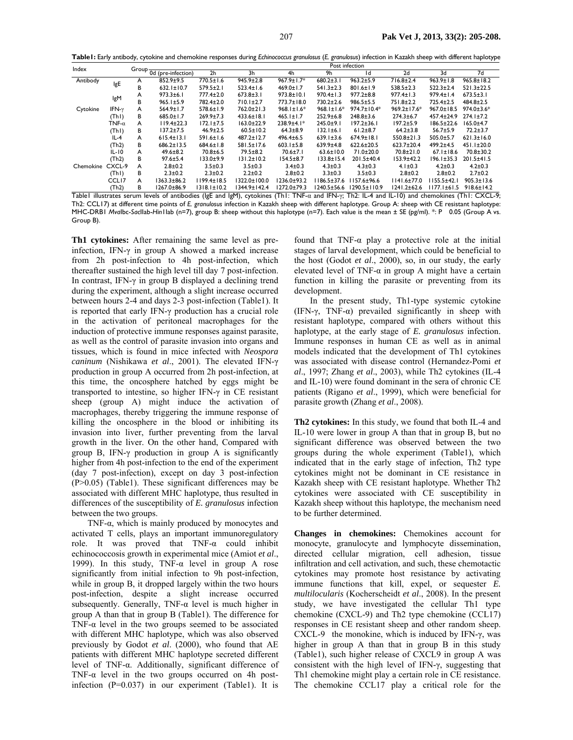**Table1:** Early antibody, cytokine and chemokine responses during *Echinococcus granulosus* (*E. granulosus*) infection in Kazakh sheep with different haplotype

| Index     |                   |   | Post infection           |                   |                  |                   |                        |                  |                   |                  |                  |
|-----------|-------------------|---|--------------------------|-------------------|------------------|-------------------|------------------------|------------------|-------------------|------------------|------------------|
|           |                   |   | Group 0d (pre-infection) | 2 <sub>h</sub>    | 3h               | 4h                | 9h                     | ١d               | 2d                | 3d               | 7d               |
| Antibody  | IgE               | A | $852.9 \pm 9.5$          | $770.5 \pm 1.6$   | $945.9 \pm 2.8$  | $967.9 \pm 1.7*$  | $680.2 \pm 3.1$        | $963.2 \pm 5.9$  | $716.8 \pm 2.4$   | $963.9 \pm 1.8$  | $965.8 \pm 18.2$ |
|           |                   | в | $632.1 \pm 10.7$         | $579.5 \pm 2.1$   | $523.4 \pm 1.6$  | $469.0 \pm 1.7$   | $541.3 \pm 2.3$        | $801.6 \pm 1.9$  | $538.5 \pm 2.3$   | $522.3 \pm 2.4$  | $521.3 \pm 22.5$ |
|           | IgM               | A | $973.3 \pm 6.1$          | 777.4±2.0         | $673.8 \pm 3.1$  | $973.8 \pm 10.1$  | $970.4 \pm 1.3$        | $977.2 \pm 8.8$  | $977.4 \pm 1.3$   | $979.4 \pm 1.4$  | $673.5 \pm 3.1$  |
|           |                   | в | $965.1 \pm 5.9$          | 782.4±2.0         | $710.1 \pm 2.7$  | 773.7±18.0        | $730.2 \pm 2.6$        | $986.5 \pm 5.5$  | 751.8±2.2         | $725.4 \pm 2.5$  | $484.8 \pm 2.5$  |
| Cytokine  | IFN- $\gamma$     | A | $564.9 \pm 1.7$          | 578.6±1.9         | $762.0 \pm 21.3$ | $968.1 \pm 1.6*$  | $968.1 \pm 1.6*$       | 974.7±10.4*      | $969.2 \pm 17.6*$ | $967.0 \pm 18.5$ | $974.0 \pm 3.6*$ |
|           | (ThI)             | в | $685.0 \pm 1.7$          | $269.9 \pm 7.3$   | $433.6 \pm 18.1$ | $465.1 \pm 1.7$   | $252.9 \pm 6.8$        | $248.8 \pm 3.6$  | $274.3 \pm 6.7$   | $457.4 \pm 24.9$ | $274.1 \pm 7.2$  |
|           | TNF- $\alpha$     | A | $119.4 \pm 22.3$         | $172.1 \pm 7.5$   | $163.0 \pm 22.9$ | 238.9±4.1*        | $245.0 + 9.1$          | $197.2 \pm 36.1$ | $197.2 \pm 5.9$   | $186.5 \pm 22.6$ | $165.0 \pm 4.7$  |
|           | (ThI)             | В | $137.2 + 7.5$            | $46.9 \pm 2.5$    | $60.5 \pm 10.2$  | $64.3 \pm 8.9$    | $132.1 \pm 6.1$        | $61.2 \pm 8.7$   | $64.2 \pm 3.8$    | $56.7 \pm 5.9$   | $72.2 + 3.7$     |
|           | $IL-4$            | A | $615.4 \pm 13.1$         | 591.6±1.6         | $487.2 \pm 12.7$ | $496.4 \pm 6.5$   | $639.1 \pm 3.6$        | $674.9 \pm 18.1$ | $550.8 \pm 21.3$  | $505.0 \pm 5.7$  | $621.3 \pm 16.0$ |
|           | (Th2)             | в | $686.2 \pm 13.5$         | $684.6 \pm 1.8$   | 581.5±17.6       | $603.1 \pm 5.8$   | $639.9 + 4.8$          | $622.6 \pm 20.5$ | $623.7 \pm 20.4$  | $499.2 \pm 4.5$  | $451.1 \pm 20.0$ |
|           | $IL-IO$           | A | $49.6 \pm 8.2$           | $70.8 + 6.5$      | $79.5 \pm 8.2$   | 70.6±7.1          | $63.6 \pm 10.0$        | 71.0±20.0        | $70.8 \pm 21.0$   | $67.1 \pm 18.6$  | $70.8 \pm 30.2$  |
|           | (Th2)             | В | $97.6 \pm 5.4$           | $133.0+9.9$       | 131.2±10.2       | $154.5 \pm 8.7$   | $133.8 \pm 15.4$       | 201.5±40.4       | 153.9±42.2        | $196.1 \pm 35.3$ | $201.5 \pm 41.5$ |
| Chemokine | CXCL-9            | A | $2.8 + 0.2$              | $3.5 \pm 0.3$     | $3.5 \pm 0.3$    | $3.4 \pm 0.3$     | $4.3 \pm 0.3$          | $4.3 \pm 0.3$    | $4.1 \pm 0.3$     | $4.2 \pm 0.3$    | $4.2 \pm 0.3$    |
|           | (ThI)             | в | $2.3 \pm 0.2$            | $2.3 \pm 0.2$     | $2.2 \pm 0.2$    | $2.8 \pm 0.2$     | $3.3 \pm 0.3$          | $3.5 \pm 0.3$    | $2.8 \pm 0.2$     | $2.8 \pm 0.2$    | $2.7 \pm 0.2$    |
|           | CCL <sub>17</sub> | A | 1363.3±86.2              | II99.4±18.5       | 1322.0±100.0     | 1236.0±93.2       | l 186.5±37.6           | l I 57.6±96.6    | $1141.6 \pm 77.0$ | l 155.5±42.1     | $905.3 \pm 13.6$ |
| - 11 - 11 | (Th2)             | В | 1267.0±86.9              | $1318.1 \pm 10.2$ | 1344.9±142.4     | $1272.0 \pm 79.3$ | I240.5±56.6<br>. ._. . | 1290.5±110.9     | $1241.2 \pm 62.6$ | i 177.1±61.5     | $918.6 \pm 14.2$ |

Table1 illustrates serum levels of antibodies (IgE and IgM), cytokines (Th1: TNF-α and IFN-γ; Th2: IL-4 and IL-10) and chemokines (Th1: CXCL-9; Th2: CCL17) at different time points of *E. granulosus* infection in Kazakh sheep with different haplotype. Group A: sheep with CE resistant haplotype: MHC-DRB1 *Mva*Ibc-*Sac*IIab-*Hin*1Iab (n=7), group B: sheep without this haplotype (n=7). Each value is the mean ± SE (pg/ml). \*: P0.05 (Group A vs. Group B).

**Th1 cytokines:** After remaining the same level as preinfection, IFN- $\gamma$  in group A showed a marked increase from 2h post-infection to 4h post-infection, which thereafter sustained the high level till day 7 post-infection. In contrast, IFN-γ in group B displayed a declining trend during the experiment, although a slight increase occurred between hours 2-4 and days 2-3 post-infection (Table1). It is reported that early IFN-γ production has a crucial role in the activation of peritoneal macrophages for the induction of protective immune responses against parasite, as well as the control of parasite invasion into organs and tissues, which is found in mice infected with *Neospora caninum* (Nishikawa *et al*., 2001). The elevated IFN-γ production in group A occurred from 2h post-infection, at this time, the oncosphere hatched by eggs might be transported to intestine, so higher IFN-γ in CE resistant sheep (group A) might induce the activation of macrophages, thereby triggering the immune response of killing the oncosphere in the blood or inhibiting its invasion into liver, further preventing from the larval growth in the liver. On the other hand, Compared with group B, IFN-γ production in group A is significantly higher from 4h post-infection to the end of the experiment (day 7 post-infection), except on day 3 post-infection (P>0.05) (Table1). These significant differences may be associated with different MHC haplotype, thus resulted in differences of the susceptibility of *E. granulosus* infection between the two groups.

TNF-α, which is mainly produced by monocytes and activated T cells, plays an important immunoregulatory role. It was proved that TNF-α could inhibit echinococcosis growth in experimental mice (Amiot *et al*., 1999). In this study, TNF-α level in group A rose significantly from initial infection to 9h post-infection, while in group B, it dropped largely within the two hours post-infection, despite a slight increase occurred subsequently. Generally, TNF- $\alpha$  level is much higher in group A than that in group B (Table1). The difference for TNF- $\alpha$  level in the two groups seemed to be associated with different MHC haplotype, which was also observed previously by Godot *et al*. (2000), who found that AE patients with different MHC haplotype secreted different level of TNF-α. Additionally, significant difference of TNF- $\alpha$  level in the two groups occurred on 4h postinfection  $(P=0.037)$  in our experiment (Table1). It is

found that TNF- $\alpha$  play a protective role at the initial stages of larval development, which could be beneficial to the host (Godot *et al*., 2000), so, in our study, the early elevated level of TNF- $\alpha$  in group A might have a certain function in killing the parasite or preventing from its development.

In the present study, Th1-type systemic cytokine (IFN- $\gamma$ , TNF- $\alpha$ ) prevailed significantly in sheep with resistant haplotype, compared with others without this haplotype, at the early stage of *E. granulosus* infection. Immune responses in human CE as well as in animal models indicated that the development of Th1 cytokines was associated with disease control (Hernandez-Pomi *et al*., 1997; Zhang *et al*., 2003), while Th2 cytokines (IL-4 and IL-10) were found dominant in the sera of chronic CE patients (Rigano *et al*., 1999), which were beneficial for parasite growth (Zhang *et al*., 2008).

**Th2 cytokines:** In this study, we found that both IL-4 and IL-10 were lower in group A than that in group B, but no significant difference was observed between the two groups during the whole experiment (Table1), which indicated that in the early stage of infection, Th2 type cytokines might not be dominant in CE resistance in Kazakh sheep with CE resistant haplotype. Whether Th2 cytokines were associated with CE susceptibility in Kazakh sheep without this haplotype, the mechanism need to be further determined.

**Changes in chemokines:** Chemokines account for monocyte, granulocyte and lymphocyte dissemination, directed cellular migration, cell adhesion, tissue infiltration and cell activation, and such, these chemotactic cytokines may promote host resistance by activating immune functions that kill, expel, or sequester *E. multilocularis* (Kocherscheidt *et al*., 2008). In the present study, we have investigated the cellular Th1 type chemokine (CXCL-9) and Th2 type chemokine (CCL17) responses in CE resistant sheep and other random sheep. CXCL-9 the monokine, which is induced by IFN- $\gamma$ , was higher in group A than that in group B in this study (Table1), such higher release of CXCL9 in group A was consistent with the high level of IFN-γ, suggesting that Th1 chemokine might play a certain role in CE resistance. The chemokine CCL17 play a critical role for the